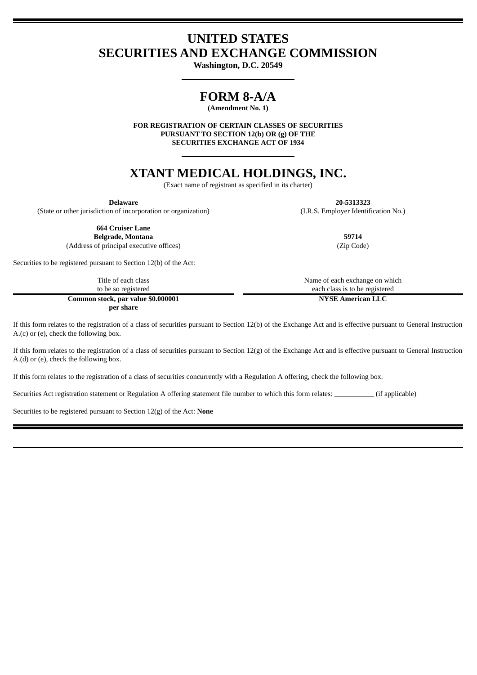# **UNITED STATES SECURITIES AND EXCHANGE COMMISSION**

**Washington, D.C. 20549**

# **FORM 8-A/A**

**(Amendment No. 1)**

**FOR REGISTRATION OF CERTAIN CLASSES OF SECURITIES PURSUANT TO SECTION 12(b) OR (g) OF THE SECURITIES EXCHANGE ACT OF 1934**

# **XTANT MEDICAL HOLDINGS, INC.**

(Exact name of registrant as specified in its charter)

**Delaware 20-5313323** (State or other jurisdiction of incorporation or organization) (I.R.S. Employer Identification No.)

**664 Cruiser Lane Belgrade, Montana 59714**

(Address of principal executive offices) (Zip Code)

Securities to be registered pursuant to Section 12(b) of the Act:

Title of each class to be so registered **Common stock, par value \$0.000001 per share**

Name of each exchange on which each class is to be registered

**NYSE American LLC**

If this form relates to the registration of a class of securities pursuant to Section 12(b) of the Exchange Act and is effective pursuant to General Instruction A.(c) or (e), check the following box.

If this form relates to the registration of a class of securities pursuant to Section  $12(g)$  of the Exchange Act and is effective pursuant to General Instruction A.(d) or (e), check the following box.

If this form relates to the registration of a class of securities concurrently with a Regulation A offering, check the following box.

Securities Act registration statement or Regulation A offering statement file number to which this form relates:  $\frac{1}{16}$  (if applicable)

Securities to be registered pursuant to Section 12(g) of the Act: **None**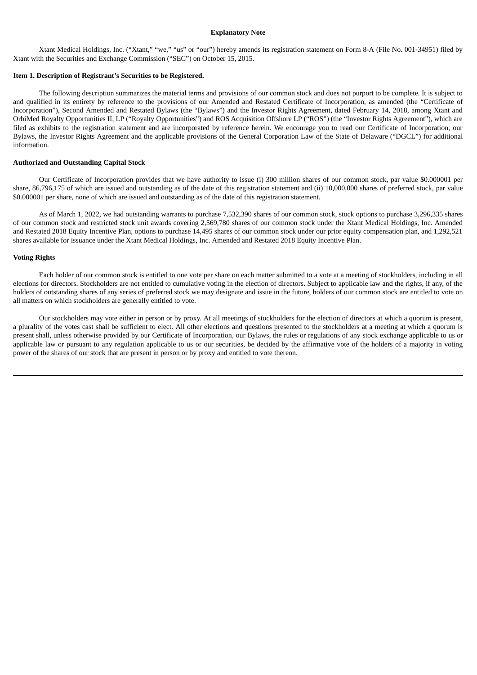#### **Explanatory Note**

Xtant Medical Holdings, Inc. ("Xtant," "we," "us" or "our") hereby amends its registration statement on Form 8-A (File No. 001-34951) filed by Xtant with the Securities and Exchange Commission ("SEC") on October 15, 2015.

#### **Item 1. Description of Registrant's Securities to be Registered.**

The following description summarizes the material terms and provisions of our common stock and does not purport to be complete. It is subject to and qualified in its entirety by reference to the provisions of our Amended and Restated Certificate of Incorporation, as amended (the "Certificate of Incorporation"), Second Amended and Restated Bylaws (the "Bylaws") and the Investor Rights Agreement, dated February 14, 2018, among Xtant and OrbiMed Royalty Opportunities II, LP ("Royalty Opportunities") and ROS Acquisition Offshore LP ("ROS") (the "Investor Rights Agreement"), which are filed as exhibits to the registration statement and are incorporated by reference herein. We encourage you to read our Certificate of Incorporation, our Bylaws, the Investor Rights Agreement and the applicable provisions of the General Corporation Law of the State of Delaware ("DGCL") for additional information.

#### **Authorized and Outstanding Capital Stock**

Our Certificate of Incorporation provides that we have authority to issue (i) 300 million shares of our common stock, par value \$0.000001 per share, 86,796,175 of which are issued and outstanding as of the date of this registration statement and (ii) 10,000,000 shares of preferred stock, par value \$0.000001 per share, none of which are issued and outstanding as of the date of this registration statement.

As of March 1, 2022, we had outstanding warrants to purchase 7,532,390 shares of our common stock, stock options to purchase 3,296,335 shares of our common stock and restricted stock unit awards covering 2,569,780 shares of our common stock under the Xtant Medical Holdings, Inc. Amended and Restated 2018 Equity Incentive Plan, options to purchase 14,495 shares of our common stock under our prior equity compensation plan, and 1,292,521 shares available for issuance under the Xtant Medical Holdings, Inc. Amended and Restated 2018 Equity Incentive Plan.

#### **Voting Rights**

Each holder of our common stock is entitled to one vote per share on each matter submitted to a vote at a meeting of stockholders, including in all elections for directors. Stockholders are not entitled to cumulative voting in the election of directors. Subject to applicable law and the rights, if any, of the holders of outstanding shares of any series of preferred stock we may designate and issue in the future, holders of our common stock are entitled to vote on all matters on which stockholders are generally entitled to vote.

Our stockholders may vote either in person or by proxy. At all meetings of stockholders for the election of directors at which a quorum is present, a plurality of the votes cast shall be sufficient to elect. All other elections and questions presented to the stockholders at a meeting at which a quorum is present shall, unless otherwise provided by our Certificate of Incorporation, our Bylaws, the rules or regulations of any stock exchange applicable to us or applicable law or pursuant to any regulation applicable to us or our securities, be decided by the affirmative vote of the holders of a majority in voting power of the shares of our stock that are present in person or by proxy and entitled to vote thereon.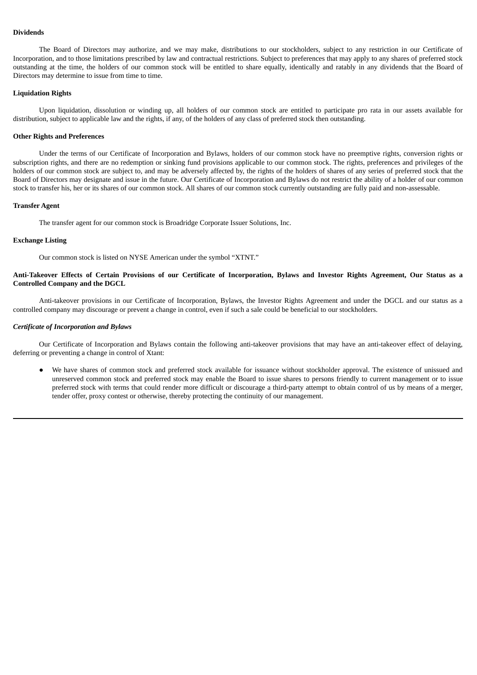# **Dividends**

The Board of Directors may authorize, and we may make, distributions to our stockholders, subject to any restriction in our Certificate of Incorporation, and to those limitations prescribed by law and contractual restrictions. Subject to preferences that may apply to any shares of preferred stock outstanding at the time, the holders of our common stock will be entitled to share equally, identically and ratably in any dividends that the Board of Directors may determine to issue from time to time.

### **Liquidation Rights**

Upon liquidation, dissolution or winding up, all holders of our common stock are entitled to participate pro rata in our assets available for distribution, subject to applicable law and the rights, if any, of the holders of any class of preferred stock then outstanding.

#### **Other Rights and Preferences**

Under the terms of our Certificate of Incorporation and Bylaws, holders of our common stock have no preemptive rights, conversion rights or subscription rights, and there are no redemption or sinking fund provisions applicable to our common stock. The rights, preferences and privileges of the holders of our common stock are subject to, and may be adversely affected by, the rights of the holders of shares of any series of preferred stock that the Board of Directors may designate and issue in the future. Our Certificate of Incorporation and Bylaws do not restrict the ability of a holder of our common stock to transfer his, her or its shares of our common stock. All shares of our common stock currently outstanding are fully paid and non-assessable.

#### **Transfer Agent**

The transfer agent for our common stock is Broadridge Corporate Issuer Solutions, Inc.

# **Exchange Listing**

Our common stock is listed on NYSE American under the symbol "XTNT."

### Anti-Takeover Effects of Certain Provisions of our Certificate of Incorporation, Bylaws and Investor Rights Agreement, Our Status as a **Controlled Company and the DGCL**

Anti-takeover provisions in our Certificate of Incorporation, Bylaws, the Investor Rights Agreement and under the DGCL and our status as a controlled company may discourage or prevent a change in control, even if such a sale could be beneficial to our stockholders.

#### *Certificate of Incorporation and Bylaws*

Our Certificate of Incorporation and Bylaws contain the following anti-takeover provisions that may have an anti-takeover effect of delaying, deferring or preventing a change in control of Xtant:

● We have shares of common stock and preferred stock available for issuance without stockholder approval. The existence of unissued and unreserved common stock and preferred stock may enable the Board to issue shares to persons friendly to current management or to issue preferred stock with terms that could render more difficult or discourage a third-party attempt to obtain control of us by means of a merger, tender offer, proxy contest or otherwise, thereby protecting the continuity of our management.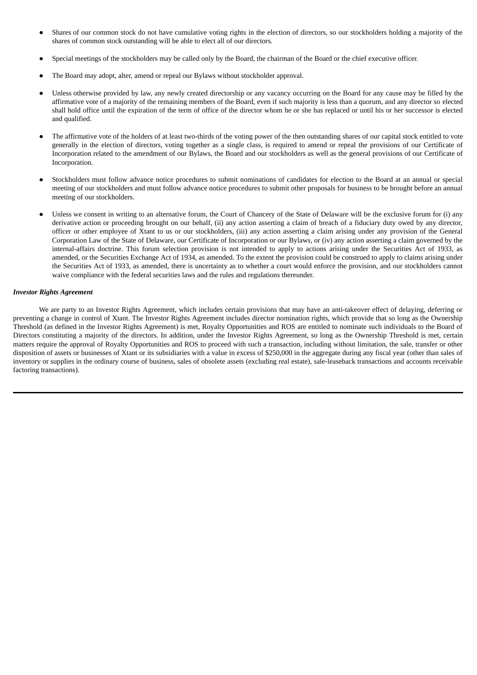- Shares of our common stock do not have cumulative voting rights in the election of directors, so our stockholders holding a majority of the shares of common stock outstanding will be able to elect all of our directors.
- Special meetings of the stockholders may be called only by the Board, the chairman of the Board or the chief executive officer.
- The Board may adopt, alter, amend or repeal our Bylaws without stockholder approval.
- Unless otherwise provided by law, any newly created directorship or any vacancy occurring on the Board for any cause may be filled by the affirmative vote of a majority of the remaining members of the Board, even if such majority is less than a quorum, and any director so elected shall hold office until the expiration of the term of office of the director whom he or she has replaced or until his or her successor is elected and qualified.
- The affirmative vote of the holders of at least two-thirds of the voting power of the then outstanding shares of our capital stock entitled to vote generally in the election of directors, voting together as a single class, is required to amend or repeal the provisions of our Certificate of Incorporation related to the amendment of our Bylaws, the Board and our stockholders as well as the general provisions of our Certificate of Incorporation.
- Stockholders must follow advance notice procedures to submit nominations of candidates for election to the Board at an annual or special meeting of our stockholders and must follow advance notice procedures to submit other proposals for business to be brought before an annual meeting of our stockholders.
- Unless we consent in writing to an alternative forum, the Court of Chancery of the State of Delaware will be the exclusive forum for (i) any derivative action or proceeding brought on our behalf, (ii) any action asserting a claim of breach of a fiduciary duty owed by any director, officer or other employee of Xtant to us or our stockholders, (iii) any action asserting a claim arising under any provision of the General Corporation Law of the State of Delaware, our Certificate of Incorporation or our Bylaws, or (iv) any action asserting a claim governed by the internal-affairs doctrine. This forum selection provision is not intended to apply to actions arising under the Securities Act of 1933, as amended, or the Securities Exchange Act of 1934, as amended. To the extent the provision could be construed to apply to claims arising under the Securities Act of 1933, as amended, there is uncertainty as to whether a court would enforce the provision, and our stockholders cannot waive compliance with the federal securities laws and the rules and regulations thereunder.

#### *Investor Rights Agreement*

We are party to an Investor Rights Agreement, which includes certain provisions that may have an anti-takeover effect of delaying, deferring or preventing a change in control of Xtant. The Investor Rights Agreement includes director nomination rights, which provide that so long as the Ownership Threshold (as defined in the Investor Rights Agreement) is met, Royalty Opportunities and ROS are entitled to nominate such individuals to the Board of Directors constituting a majority of the directors. In addition, under the Investor Rights Agreement, so long as the Ownership Threshold is met, certain matters require the approval of Royalty Opportunities and ROS to proceed with such a transaction, including without limitation, the sale, transfer or other disposition of assets or businesses of Xtant or its subsidiaries with a value in excess of \$250,000 in the aggregate during any fiscal year (other than sales of inventory or supplies in the ordinary course of business, sales of obsolete assets (excluding real estate), sale-leaseback transactions and accounts receivable factoring transactions).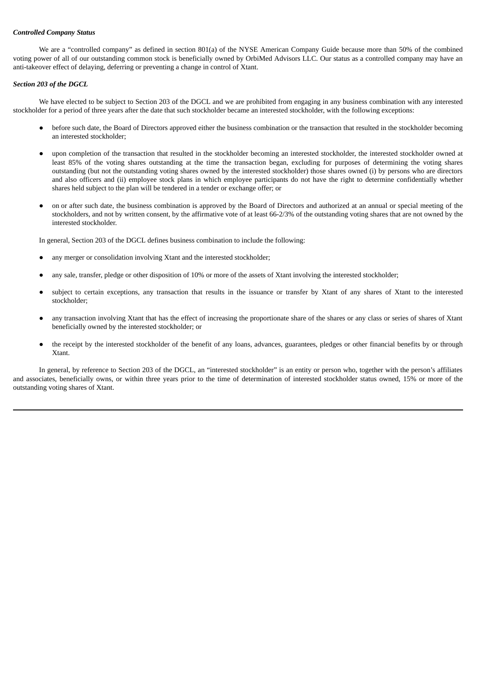### *Controlled Company Status*

We are a "controlled company" as defined in section 801(a) of the NYSE American Company Guide because more than 50% of the combined voting power of all of our outstanding common stock is beneficially owned by OrbiMed Advisors LLC. Our status as a controlled company may have an anti-takeover effect of delaying, deferring or preventing a change in control of Xtant.

#### *Section 203 of the DGCL*

We have elected to be subject to Section 203 of the DGCL and we are prohibited from engaging in any business combination with any interested stockholder for a period of three years after the date that such stockholder became an interested stockholder, with the following exceptions:

- before such date, the Board of Directors approved either the business combination or the transaction that resulted in the stockholder becoming an interested stockholder;
- upon completion of the transaction that resulted in the stockholder becoming an interested stockholder, the interested stockholder owned at least 85% of the voting shares outstanding at the time the transaction began, excluding for purposes of determining the voting shares outstanding (but not the outstanding voting shares owned by the interested stockholder) those shares owned (i) by persons who are directors and also officers and (ii) employee stock plans in which employee participants do not have the right to determine confidentially whether shares held subject to the plan will be tendered in a tender or exchange offer; or
- on or after such date, the business combination is approved by the Board of Directors and authorized at an annual or special meeting of the stockholders, and not by written consent, by the affirmative vote of at least 66-2/3% of the outstanding voting shares that are not owned by the interested stockholder.

In general, Section 203 of the DGCL defines business combination to include the following:

- any merger or consolidation involving Xtant and the interested stockholder;
- any sale, transfer, pledge or other disposition of 10% or more of the assets of Xtant involving the interested stockholder;
- subject to certain exceptions, any transaction that results in the issuance or transfer by Xtant of any shares of Xtant to the interested stockholder;
- any transaction involving Xtant that has the effect of increasing the proportionate share of the shares or any class or series of shares of Xtant beneficially owned by the interested stockholder; or
- the receipt by the interested stockholder of the benefit of any loans, advances, guarantees, pledges or other financial benefits by or through Xtant.

In general, by reference to Section 203 of the DGCL, an "interested stockholder" is an entity or person who, together with the person's affiliates and associates, beneficially owns, or within three years prior to the time of determination of interested stockholder status owned, 15% or more of the outstanding voting shares of Xtant.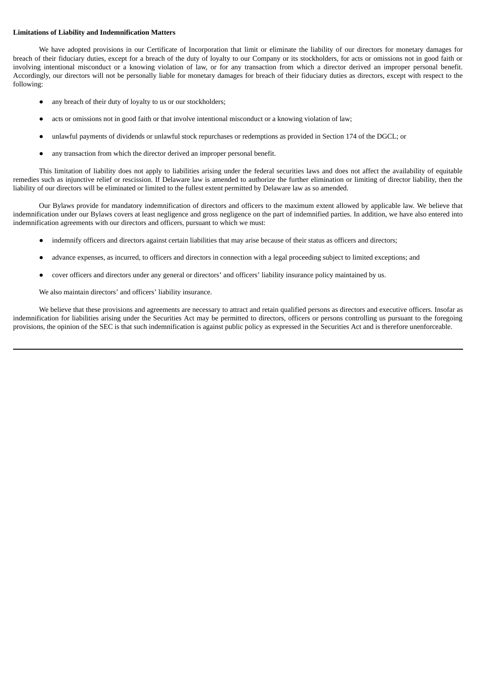# **Limitations of Liability and Indemnification Matters**

We have adopted provisions in our Certificate of Incorporation that limit or eliminate the liability of our directors for monetary damages for breach of their fiduciary duties, except for a breach of the duty of loyalty to our Company or its stockholders, for acts or omissions not in good faith or involving intentional misconduct or a knowing violation of law, or for any transaction from which a director derived an improper personal benefit. Accordingly, our directors will not be personally liable for monetary damages for breach of their fiduciary duties as directors, except with respect to the following:

- any breach of their duty of loyalty to us or our stockholders;
- acts or omissions not in good faith or that involve intentional misconduct or a knowing violation of law;
- unlawful payments of dividends or unlawful stock repurchases or redemptions as provided in Section 174 of the DGCL; or
- any transaction from which the director derived an improper personal benefit.

This limitation of liability does not apply to liabilities arising under the federal securities laws and does not affect the availability of equitable remedies such as injunctive relief or rescission. If Delaware law is amended to authorize the further elimination or limiting of director liability, then the liability of our directors will be eliminated or limited to the fullest extent permitted by Delaware law as so amended.

Our Bylaws provide for mandatory indemnification of directors and officers to the maximum extent allowed by applicable law. We believe that indemnification under our Bylaws covers at least negligence and gross negligence on the part of indemnified parties. In addition, we have also entered into indemnification agreements with our directors and officers, pursuant to which we must:

- indemnify officers and directors against certain liabilities that may arise because of their status as officers and directors;
- advance expenses, as incurred, to officers and directors in connection with a legal proceeding subject to limited exceptions; and
- cover officers and directors under any general or directors' and officers' liability insurance policy maintained by us.

We also maintain directors' and officers' liability insurance.

We believe that these provisions and agreements are necessary to attract and retain qualified persons as directors and executive officers. Insofar as indemnification for liabilities arising under the Securities Act may be permitted to directors, officers or persons controlling us pursuant to the foregoing provisions, the opinion of the SEC is that such indemnification is against public policy as expressed in the Securities Act and is therefore unenforceable.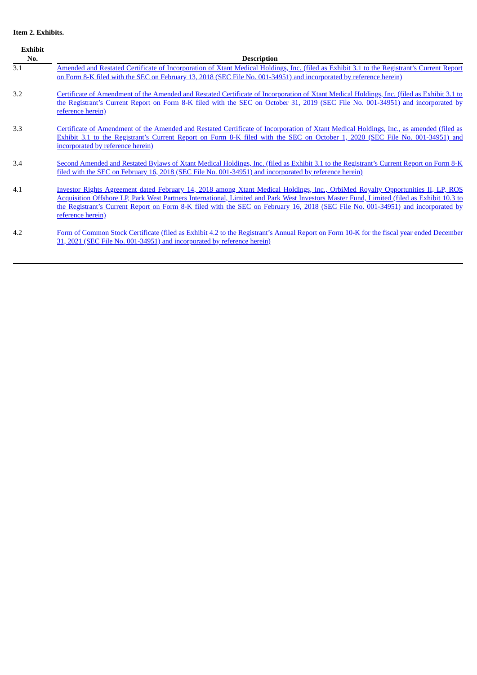# **Item 2. Exhibits.**

| Exhibit<br>No. | <b>Description</b>                                                                                                                                                                                                                                                                                                                                                                                                                           |
|----------------|----------------------------------------------------------------------------------------------------------------------------------------------------------------------------------------------------------------------------------------------------------------------------------------------------------------------------------------------------------------------------------------------------------------------------------------------|
| 3.1            | Amended and Restated Certificate of Incorporation of Xtant Medical Holdings, Inc. (filed as Exhibit 3.1 to the Registrant's Current Report<br>on Form 8-K filed with the SEC on February 13, 2018 (SEC File No. 001-34951) and incorporated by reference herein)                                                                                                                                                                             |
| 3.2            | Certificate of Amendment of the Amended and Restated Certificate of Incorporation of Xtant Medical Holdings, Inc. (filed as Exhibit 3.1 to<br>the Registrant's Current Report on Form 8-K filed with the SEC on October 31, 2019 (SEC File No. 001-34951) and incorporated by<br>reference herein)                                                                                                                                           |
| 3.3            | Certificate of Amendment of the Amended and Restated Certificate of Incorporation of Xtant Medical Holdings, Inc., as amended (filed as<br>Exhibit 3.1 to the Registrant's Current Report on Form 8-K filed with the SEC on October 1, 2020 (SEC File No. 001-34951) and<br>incorporated by reference herein)                                                                                                                                |
| 3.4            | Second Amended and Restated Bylaws of Xtant Medical Holdings, Inc. (filed as Exhibit 3.1 to the Registrant's Current Report on Form 8-K<br>filed with the SEC on February 16, 2018 (SEC File No. 001-34951) and incorporated by reference herein)                                                                                                                                                                                            |
| 4.1            | <u>Investor Rights Agreement dated February 14, 2018 among Xtant Medical Holdings, Inc., OrbiMed Royalty Opportunities II, LP, ROS</u><br>Acquisition Offshore LP, Park West Partners International, Limited and Park West Investors Master Fund, Limited (filed as Exhibit 10.3 to<br>the Registrant's Current Report on Form 8-K filed with the SEC on February 16, 2018 (SEC File No. 001-34951) and incorporated by<br>reference herein) |
| 4.2            | Form of Common Stock Certificate (filed as Exhibit 4.2 to the Registrant's Annual Report on Form 10-K for the fiscal year ended December<br>31, 2021 (SEC File No. 001-34951) and incorporated by reference herein)                                                                                                                                                                                                                          |